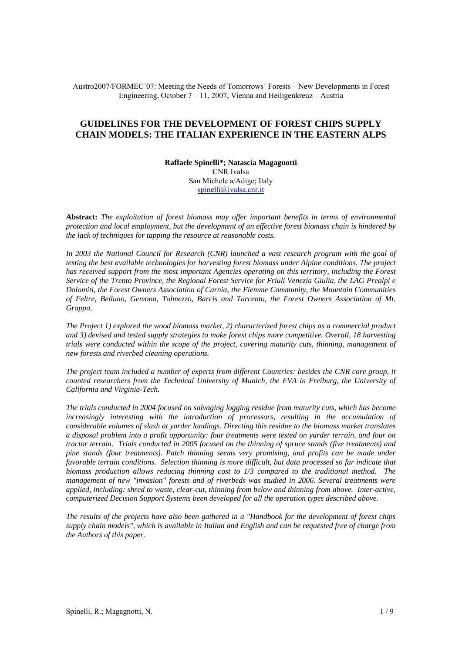Austro2007/FORMEC´07: Meeting the Needs of Tomorrows´ Forests – New Developments in Forest Engineering, October  $7 - 11$ , 2007, Vienna and Heiligenkreuz – Austria

# **GUIDELINES FOR THE DEVELOPMENT OF FOREST CHIPS SUPPLY CHAIN MODELS: THE ITALIAN EXPERIENCE IN THE EASTERN ALPS**

**Raffaele Spinelli\*; Natascia Magagnotti** CNR Ivalsa San Michele a/Adige; Italy spinelli@ivalsa.cnr.it

**Abstract:** *The exploitation of forest biomass may offer important benefits in terms of environmental protection and local employment, but the development of an effective forest biomass chain is hindered by the lack of techniques for tapping the resource at reasonable costs.* 

*In 2003 the National Council for Research (CNR) launched a vast research program with the goal of testing the best available technologies for harvesting forest biomass under Alpine conditions. The project has received support from the most important Agencies operating on this territory, including the Forest Service of the Trento Province, the Regional Forest Service for Friuli Venezia Giulia, the LAG Prealpi e Dolomiti, the Forest Owners Association of Carnia, the Fiemme Community, the Mountain Communities of Feltre, Belluno, Gemona, Tolmezzo, Barcis and Tarcento, the Forest Owners Association of Mt. Grappa.* 

*The Project 1) explored the wood biomass market, 2) characterized forest chips as a commercial product and 3) devised and tested supply strategies to make forest chips more competitive. Overall, 18 harvesting trials were conducted within the scope of the project, covering maturity cuts, thinning, management of new forests and riverbed cleaning operations.* 

*The project team included a number of experts from different Countries: besides the CNR core group, it counted researchers from the Technical University of Munich, the FVA in Freiburg, the University of California and Virginia-Tech.* 

*The trials conducted in 2004 focused on salvaging logging residue from maturity cuts, which has become*  increasingly interesting with the introduction of processors, resulting in the accumulation of *considerable volumes of slash at yarder landings. Directing this residue to the biomass market translates a disposal problem into a profit opportunity: four treatments were tested on yarder terrain, and four on tractor terrain. Trials conducted in 2005 focused on the thinning of spruce stands (five treatments) and pine stands (four treatments). Patch thinning seems very promising, and profits can be made under favorable terrain conditions. Selection thinning is more difficult, but data processed so far indicate that biomass production allows reducing thinning cost to 1/3 compared to the traditional method. The management of new "invasion" forests and of riverbeds was studied in 2006. Several treatments were applied, including: shred to waste, clear-cut, thinning from below and thinning from above. Inter-active, computerized Decision Support Systems been developed for all the operation types described above.* 

*The results of the projects have also been gathered in a "Handbook for the development of forest chips supply chain models", which is available in Italian and English and can be requested free of charge from the Authors of this paper.*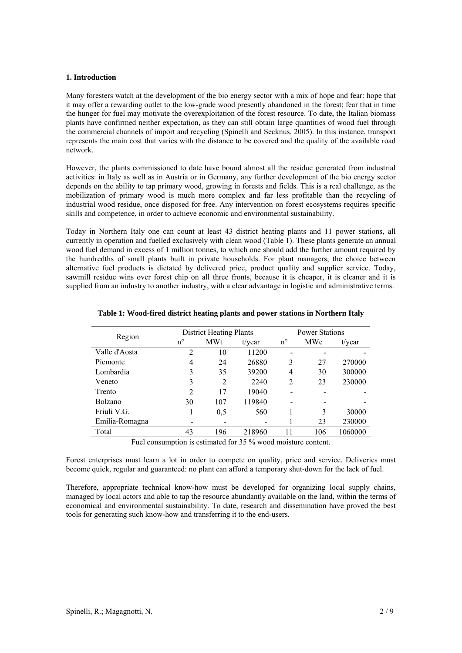## **1. Introduction**

Many foresters watch at the development of the bio energy sector with a mix of hope and fear: hope that it may offer a rewarding outlet to the low-grade wood presently abandoned in the forest; fear that in time the hunger for fuel may motivate the overexploitation of the forest resource. To date, the Italian biomass plants have confirmed neither expectation, as they can still obtain large quantities of wood fuel through the commercial channels of import and recycling (Spinelli and Secknus, 2005). In this instance, transport represents the main cost that varies with the distance to be covered and the quality of the available road network.

However, the plants commissioned to date have bound almost all the residue generated from industrial activities: in Italy as well as in Austria or in Germany, any further development of the bio energy sector depends on the ability to tap primary wood, growing in forests and fields. This is a real challenge, as the mobilization of primary wood is much more complex and far less profitable than the recycling of industrial wood residue, once disposed for free. Any intervention on forest ecosystems requires specific skills and competence, in order to achieve economic and environmental sustainability.

Today in Northern Italy one can count at least 43 district heating plants and 11 power stations, all currently in operation and fuelled exclusively with clean wood (Table 1). These plants generate an annual wood fuel demand in excess of 1 million tonnes, to which one should add the further amount required by the hundredths of small plants built in private households. For plant managers, the choice between alternative fuel products is dictated by delivered price, product quality and supplier service. Today, sawmill residue wins over forest chip on all three fronts, because it is cheaper, it is cleaner and it is supplied from an industry to another industry, with a clear advantage in logistic and administrative terms.

| Region         |                | <b>District Heating Plants</b> |           | <b>Power Stations</b> |     |           |  |  |
|----------------|----------------|--------------------------------|-----------|-----------------------|-----|-----------|--|--|
|                | $n^{\circ}$    | <b>MWt</b>                     | $t$ /year | $n^{\circ}$           | MWe | $t$ /year |  |  |
| Valle d'Aosta  | 2              | 10                             | 11200     |                       |     |           |  |  |
| Piemonte       | 4              | 24                             | 26880     | 3                     | 27  | 270000    |  |  |
| Lombardia      | 3              | 35                             | 39200     | 4                     | 30  | 300000    |  |  |
| Veneto         | 3              | 2                              | 2240      | $\mathfrak{D}$        | 23  | 230000    |  |  |
| Trento         | $\overline{2}$ | 17                             | 19040     |                       |     |           |  |  |
| Bolzano        | 30             | 107                            | 119840    |                       |     |           |  |  |
| Friuli V.G.    |                | 0.5                            | 560       |                       | 3   | 30000     |  |  |
| Emilia-Romagna |                |                                |           |                       | 23  | 230000    |  |  |
| Total          | 43             | 196                            | 218960    | 11                    | 106 | 1060000   |  |  |
|                |                |                                |           |                       |     |           |  |  |

## **Table 1: Wood-fired district heating plants and power stations in Northern Italy**

Fuel consumption is estimated for 35 % wood moisture content.

Forest enterprises must learn a lot in order to compete on quality, price and service. Deliveries must become quick, regular and guaranteed: no plant can afford a temporary shut-down for the lack of fuel.

Therefore, appropriate technical know-how must be developed for organizing local supply chains, managed by local actors and able to tap the resource abundantly available on the land, within the terms of economical and environmental sustainability. To date, research and dissemination have proved the best tools for generating such know-how and transferring it to the end-users.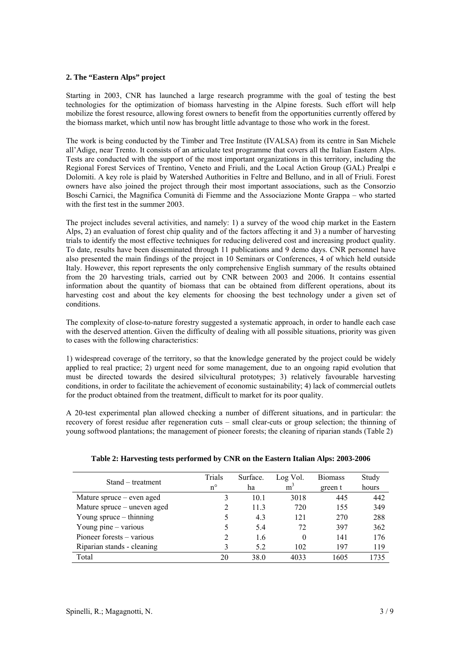# **2. The "Eastern Alps" project**

Starting in 2003, CNR has launched a large research programme with the goal of testing the best technologies for the optimization of biomass harvesting in the Alpine forests. Such effort will help mobilize the forest resource, allowing forest owners to benefit from the opportunities currently offered by the biomass market, which until now has brought little advantage to those who work in the forest.

The work is being conducted by the Timber and Tree Institute (IVALSA) from its centre in San Michele all'Adige, near Trento. It consists of an articulate test programme that covers all the Italian Eastern Alps. Tests are conducted with the support of the most important organizations in this territory, including the Regional Forest Services of Trentino, Veneto and Friuli, and the Local Action Group (GAL) Prealpi e Dolomiti. A key role is plaid by Watershed Authorities in Feltre and Belluno, and in all of Friuli. Forest owners have also joined the project through their most important associations, such as the Consorzio Boschi Carnici, the Magnifica Comunità di Fiemme and the Associazione Monte Grappa – who started with the first test in the summer 2003.

The project includes several activities, and namely: 1) a survey of the wood chip market in the Eastern Alps, 2) an evaluation of forest chip quality and of the factors affecting it and 3) a number of harvesting trials to identify the most effective techniques for reducing delivered cost and increasing product quality. To date, results have been disseminated through 11 publications and 9 demo days. CNR personnel have also presented the main findings of the project in 10 Seminars or Conferences, 4 of which held outside Italy. However, this report represents the only comprehensive English summary of the results obtained from the 20 harvesting trials, carried out by CNR between 2003 and 2006. It contains essential information about the quantity of biomass that can be obtained from different operations, about its harvesting cost and about the key elements for choosing the best technology under a given set of conditions.

The complexity of close-to-nature forestry suggested a systematic approach, in order to handle each case with the deserved attention. Given the difficulty of dealing with all possible situations, priority was given to cases with the following characteristics:

1) widespread coverage of the territory, so that the knowledge generated by the project could be widely applied to real practice; 2) urgent need for some management, due to an ongoing rapid evolution that must be directed towards the desired silvicultural prototypes; 3) relatively favourable harvesting conditions, in order to facilitate the achievement of economic sustainability; 4) lack of commercial outlets for the product obtained from the treatment, difficult to market for its poor quality.

A 20-test experimental plan allowed checking a number of different situations, and in particular: the recovery of forest residue after regeneration cuts – small clear-cuts or group selection; the thinning of young softwood plantations; the management of pioneer forests; the cleaning of riparian stands (Table 2)

| Stand – treatment           | Trials<br>$n^{\circ}$ | Surface.<br>ha | Log Vol.<br>m <sup>3</sup> | <b>Biomass</b><br>green t | Study<br>hours |
|-----------------------------|-----------------------|----------------|----------------------------|---------------------------|----------------|
| Mature spruce – even aged   | 3                     | 10.1           | 3018                       | 445                       | 442            |
| Mature spruce – uneven aged |                       | 11.3           | 720                        | 155                       | 349            |
| Young spruce $-$ thinning   |                       | 4.3            | 121                        | 270                       | 288            |
| Young pine $-$ various      |                       | 5.4            | 72                         | 397                       | 362            |
| Pioneer forests – various   | 2                     | 1.6            | 0                          | 141                       | 176            |
| Riparian stands - cleaning  |                       | 5.2            | 102                        | 197                       | 119            |
| Total                       | 20                    | 38.0           | 4033                       | 1605                      | 1735           |

## **Table 2: Harvesting tests performed by CNR on the Eastern Italian Alps: 2003-2006**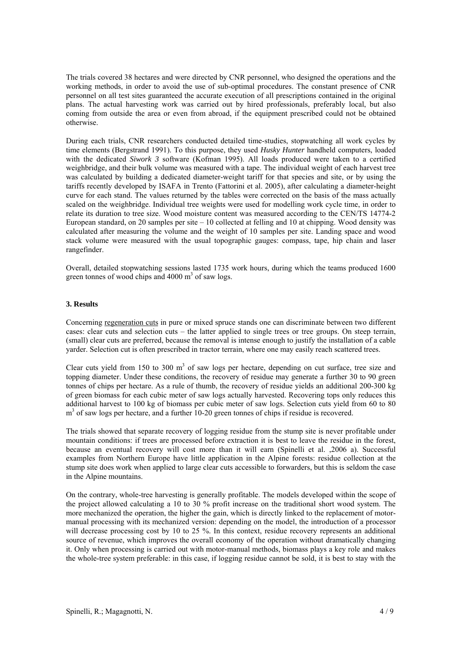The trials covered 38 hectares and were directed by CNR personnel, who designed the operations and the working methods, in order to avoid the use of sub-optimal procedures. The constant presence of CNR personnel on all test sites guaranteed the accurate execution of all prescriptions contained in the original plans. The actual harvesting work was carried out by hired professionals, preferably local, but also coming from outside the area or even from abroad, if the equipment prescribed could not be obtained otherwise.

During each trials, CNR researchers conducted detailed time-studies, stopwatching all work cycles by time elements (Bergstrand 1991). To this purpose, they used *Husky Hunter* handheld computers, loaded with the dedicated *Siwork 3* software (Kofman 1995). All loads produced were taken to a certified weighbridge, and their bulk volume was measured with a tape. The individual weight of each harvest tree was calculated by building a dedicated diameter-weight tariff for that species and site, or by using the tariffs recently developed by ISAFA in Trento (Fattorini et al. 2005), after calculating a diameter-height curve for each stand. The values returned by the tables were corrected on the basis of the mass actually scaled on the weighbridge. Individual tree weights were used for modelling work cycle time, in order to relate its duration to tree size. Wood moisture content was measured according to the CEN/TS 14774-2 European standard, on 20 samples per site – 10 collected at felling and 10 at chipping. Wood density was calculated after measuring the volume and the weight of 10 samples per site. Landing space and wood stack volume were measured with the usual topographic gauges: compass, tape, hip chain and laser rangefinder.

Overall, detailed stopwatching sessions lasted 1735 work hours, during which the teams produced 1600 green tonnes of wood chips and  $4000 \text{ m}^3$  of saw logs.

## **3. Results**

Concerning regeneration cuts in pure or mixed spruce stands one can discriminate between two different cases: clear cuts and selection cuts – the latter applied to single trees or tree groups. On steep terrain, (small) clear cuts are preferred, because the removal is intense enough to justify the installation of a cable yarder. Selection cut is often prescribed in tractor terrain, where one may easily reach scattered trees.

Clear cuts yield from 150 to 300  $m<sup>3</sup>$  of saw logs per hectare, depending on cut surface, tree size and topping diameter. Under these conditions, the recovery of residue may generate a further 30 to 90 green tonnes of chips per hectare. As a rule of thumb, the recovery of residue yields an additional 200-300 kg of green biomass for each cubic meter of saw logs actually harvested. Recovering tops only reduces this additional harvest to 100 kg of biomass per cubic meter of saw logs. Selection cuts yield from 60 to 80 m<sup>3</sup> of saw logs per hectare, and a further 10-20 green tonnes of chips if residue is recovered.

The trials showed that separate recovery of logging residue from the stump site is never profitable under mountain conditions: if trees are processed before extraction it is best to leave the residue in the forest, because an eventual recovery will cost more than it will earn (Spinelli et al. ,2006 a). Successful examples from Northern Europe have little application in the Alpine forests: residue collection at the stump site does work when applied to large clear cuts accessible to forwarders, but this is seldom the case in the Alpine mountains.

On the contrary, whole-tree harvesting is generally profitable. The models developed within the scope of the project allowed calculating a 10 to 30 % profit increase on the traditional short wood system. The more mechanized the operation, the higher the gain, which is directly linked to the replacement of motormanual processing with its mechanized version: depending on the model, the introduction of a processor will decrease processing cost by 10 to 25 %. In this context, residue recovery represents an additional source of revenue, which improves the overall economy of the operation without dramatically changing it. Only when processing is carried out with motor-manual methods, biomass plays a key role and makes the whole-tree system preferable: in this case, if logging residue cannot be sold, it is best to stay with the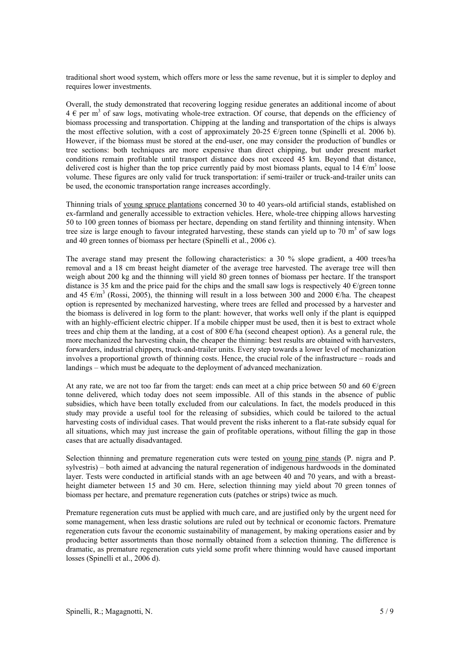traditional short wood system, which offers more or less the same revenue, but it is simpler to deploy and requires lower investments.

Overall, the study demonstrated that recovering logging residue generates an additional income of about  $4 \in \text{per}$  m<sup>3</sup> of saw logs, motivating whole-tree extraction. Of course, that depends on the efficiency of biomass processing and transportation. Chipping at the landing and transportation of the chips is always the most effective solution, with a cost of approximately 20-25  $\epsilon$ /green tonne (Spinelli et al. 2006 b). However, if the biomass must be stored at the end-user, one may consider the production of bundles or tree sections: both techniques are more expensive than direct chipping, but under present market conditions remain profitable until transport distance does not exceed 45 km. Beyond that distance, delivered cost is higher than the top price currently paid by most biomass plants, equal to 14  $\epsilon/m^3$  loose volume. These figures are only valid for truck transportation: if semi-trailer or truck-and-trailer units can be used, the economic transportation range increases accordingly.

Thinning trials of young spruce plantations concerned 30 to 40 years-old artificial stands, established on ex-farmland and generally accessible to extraction vehicles. Here, whole-tree chipping allows harvesting 50 to 100 green tonnes of biomass per hectare, depending on stand fertility and thinning intensity. When tree size is large enough to favour integrated harvesting, these stands can yield up to  $70 \text{ m}^3$  of saw logs and 40 green tonnes of biomass per hectare (Spinelli et al., 2006 c).

The average stand may present the following characteristics: a 30 % slope gradient, a 400 trees/ha removal and a 18 cm breast height diameter of the average tree harvested. The average tree will then weigh about 200 kg and the thinning will yield 80 green tonnes of biomass per hectare. If the transport distance is 35 km and the price paid for the chips and the small saw logs is respectively 40  $\epsilon$ /green tonne and 45  $\epsilon/m^3$  (Rossi, 2005), the thinning will result in a loss between 300 and 2000  $\epsilon$ /ha. The cheapest option is represented by mechanized harvesting, where trees are felled and processed by a harvester and the biomass is delivered in log form to the plant: however, that works well only if the plant is equipped with an highly-efficient electric chipper. If a mobile chipper must be used, then it is best to extract whole trees and chip them at the landing, at a cost of 800 €/ha (second cheapest option). As a general rule, the more mechanized the harvesting chain, the cheaper the thinning: best results are obtained with harvesters, forwarders, industrial chippers, truck-and-trailer units. Every step towards a lower level of mechanization involves a proportional growth of thinning costs. Hence, the crucial role of the infrastructure – roads and landings – which must be adequate to the deployment of advanced mechanization.

At any rate, we are not too far from the target: ends can meet at a chip price between 50 and 60  $\epsilon$ /green tonne delivered, which today does not seem impossible. All of this stands in the absence of public subsidies, which have been totally excluded from our calculations. In fact, the models produced in this study may provide a useful tool for the releasing of subsidies, which could be tailored to the actual harvesting costs of individual cases. That would prevent the risks inherent to a flat-rate subsidy equal for all situations, which may just increase the gain of profitable operations, without filling the gap in those cases that are actually disadvantaged.

Selection thinning and premature regeneration cuts were tested on young pine stands (P. nigra and P. sylvestris) – both aimed at advancing the natural regeneration of indigenous hardwoods in the dominated layer. Tests were conducted in artificial stands with an age between 40 and 70 years, and with a breastheight diameter between 15 and 30 cm. Here, selection thinning may yield about 70 green tonnes of biomass per hectare, and premature regeneration cuts (patches or strips) twice as much.

Premature regeneration cuts must be applied with much care, and are justified only by the urgent need for some management, when less drastic solutions are ruled out by technical or economic factors. Premature regeneration cuts favour the economic sustainability of management, by making operations easier and by producing better assortments than those normally obtained from a selection thinning. The difference is dramatic, as premature regeneration cuts yield some profit where thinning would have caused important losses (Spinelli et al., 2006 d).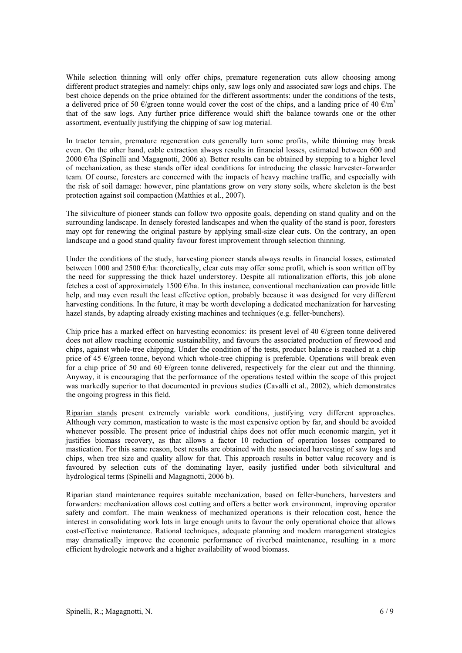While selection thinning will only offer chips, premature regeneration cuts allow choosing among different product strategies and namely: chips only, saw logs only and associated saw logs and chips. The best choice depends on the price obtained for the different assortments: under the conditions of the tests, a delivered price of 50 €/green tonne would cover the cost of the chips, and a landing price of 40 €/m<sup>3</sup> that of the saw logs. Any further price difference would shift the balance towards one or the other assortment, eventually justifying the chipping of saw log material.

In tractor terrain, premature regeneration cuts generally turn some profits, while thinning may break even. On the other hand, cable extraction always results in financial losses, estimated between 600 and 2000 €/ha (Spinelli and Magagnotti, 2006 a). Better results can be obtained by stepping to a higher level of mechanization, as these stands offer ideal conditions for introducing the classic harvester-forwarder team. Of course, foresters are concerned with the impacts of heavy machine traffic, and especially with the risk of soil damage: however, pine plantations grow on very stony soils, where skeleton is the best protection against soil compaction (Matthies et al., 2007).

The silviculture of pioneer stands can follow two opposite goals, depending on stand quality and on the surrounding landscape. In densely forested landscapes and when the quality of the stand is poor, foresters may opt for renewing the original pasture by applying small-size clear cuts. On the contrary, an open landscape and a good stand quality favour forest improvement through selection thinning.

Under the conditions of the study, harvesting pioneer stands always results in financial losses, estimated between 1000 and 2500  $\epsilon$ /ha: theoretically, clear cuts may offer some profit, which is soon written off by the need for suppressing the thick hazel understorey. Despite all rationalization efforts, this job alone fetches a cost of approximately 1500  $\epsilon$ /ha. In this instance, conventional mechanization can provide little help, and may even result the least effective option, probably because it was designed for very different harvesting conditions. In the future, it may be worth developing a dedicated mechanization for harvesting hazel stands, by adapting already existing machines and techniques (e.g. feller-bunchers).

Chip price has a marked effect on harvesting economics: its present level of 40  $\epsilon$ /green tonne delivered does not allow reaching economic sustainability, and favours the associated production of firewood and chips, against whole-tree chipping. Under the condition of the tests, product balance is reached at a chip price of 45 €/green tonne, beyond which whole-tree chipping is preferable. Operations will break even for a chip price of 50 and 60  $\epsilon$ /green tonne delivered, respectively for the clear cut and the thinning. Anyway, it is encouraging that the performance of the operations tested within the scope of this project was markedly superior to that documented in previous studies (Cavalli et al., 2002), which demonstrates the ongoing progress in this field.

Riparian stands present extremely variable work conditions, justifying very different approaches. Although very common, mastication to waste is the most expensive option by far, and should be avoided whenever possible. The present price of industrial chips does not offer much economic margin, yet it justifies biomass recovery, as that allows a factor 10 reduction of operation losses compared to mastication. For this same reason, best results are obtained with the associated harvesting of saw logs and chips, when tree size and quality allow for that. This approach results in better value recovery and is favoured by selection cuts of the dominating layer, easily justified under both silvicultural and hydrological terms (Spinelli and Magagnotti, 2006 b).

Riparian stand maintenance requires suitable mechanization, based on feller-bunchers, harvesters and forwarders: mechanization allows cost cutting and offers a better work environment, improving operator safety and comfort. The main weakness of mechanized operations is their relocation cost, hence the interest in consolidating work lots in large enough units to favour the only operational choice that allows cost-effective maintenance. Rational techniques, adequate planning and modern management strategies may dramatically improve the economic performance of riverbed maintenance, resulting in a more efficient hydrologic network and a higher availability of wood biomass.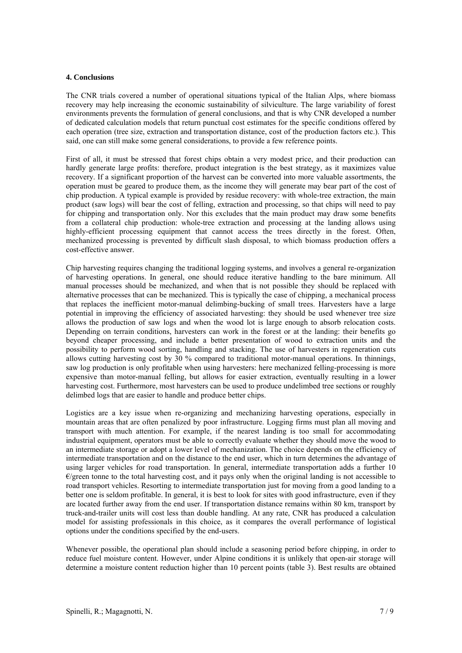## **4. Conclusions**

The CNR trials covered a number of operational situations typical of the Italian Alps, where biomass recovery may help increasing the economic sustainability of silviculture. The large variability of forest environments prevents the formulation of general conclusions, and that is why CNR developed a number of dedicated calculation models that return punctual cost estimates for the specific conditions offered by each operation (tree size, extraction and transportation distance, cost of the production factors etc.). This said, one can still make some general considerations, to provide a few reference points.

First of all, it must be stressed that forest chips obtain a very modest price, and their production can hardly generate large profits: therefore, product integration is the best strategy, as it maximizes value recovery. If a significant proportion of the harvest can be converted into more valuable assortments, the operation must be geared to produce them, as the income they will generate may bear part of the cost of chip production. A typical example is provided by residue recovery: with whole-tree extraction, the main product (saw logs) will bear the cost of felling, extraction and processing, so that chips will need to pay for chipping and transportation only. Nor this excludes that the main product may draw some benefits from a collateral chip production: whole-tree extraction and processing at the landing allows using highly-efficient processing equipment that cannot access the trees directly in the forest. Often, mechanized processing is prevented by difficult slash disposal, to which biomass production offers a cost-effective answer.

Chip harvesting requires changing the traditional logging systems, and involves a general re-organization of harvesting operations. In general, one should reduce iterative handling to the bare minimum. All manual processes should be mechanized, and when that is not possible they should be replaced with alternative processes that can be mechanized. This is typically the case of chipping, a mechanical process that replaces the inefficient motor-manual delimbing-bucking of small trees. Harvesters have a large potential in improving the efficiency of associated harvesting: they should be used whenever tree size allows the production of saw logs and when the wood lot is large enough to absorb relocation costs. Depending on terrain conditions, harvesters can work in the forest or at the landing: their benefits go beyond cheaper processing, and include a better presentation of wood to extraction units and the possibility to perform wood sorting, handling and stacking. The use of harvesters in regeneration cuts allows cutting harvesting cost by 30 % compared to traditional motor-manual operations. In thinnings, saw log production is only profitable when using harvesters: here mechanized felling-processing is more expensive than motor-manual felling, but allows for easier extraction, eventually resulting in a lower harvesting cost. Furthermore, most harvesters can be used to produce undelimbed tree sections or roughly delimbed logs that are easier to handle and produce better chips.

Logistics are a key issue when re-organizing and mechanizing harvesting operations, especially in mountain areas that are often penalized by poor infrastructure. Logging firms must plan all moving and transport with much attention. For example, if the nearest landing is too small for accommodating industrial equipment, operators must be able to correctly evaluate whether they should move the wood to an intermediate storage or adopt a lower level of mechanization. The choice depends on the efficiency of intermediate transportation and on the distance to the end user, which in turn determines the advantage of using larger vehicles for road transportation. In general, intermediate transportation adds a further 10  $\epsilon$ /green tonne to the total harvesting cost, and it pays only when the original landing is not accessible to road transport vehicles. Resorting to intermediate transportation just for moving from a good landing to a better one is seldom profitable. In general, it is best to look for sites with good infrastructure, even if they are located further away from the end user. If transportation distance remains within 80 km, transport by truck-and-trailer units will cost less than double handling. At any rate, CNR has produced a calculation model for assisting professionals in this choice, as it compares the overall performance of logistical options under the conditions specified by the end-users.

Whenever possible, the operational plan should include a seasoning period before chipping, in order to reduce fuel moisture content. However, under Alpine conditions it is unlikely that open-air storage will determine a moisture content reduction higher than 10 percent points (table 3). Best results are obtained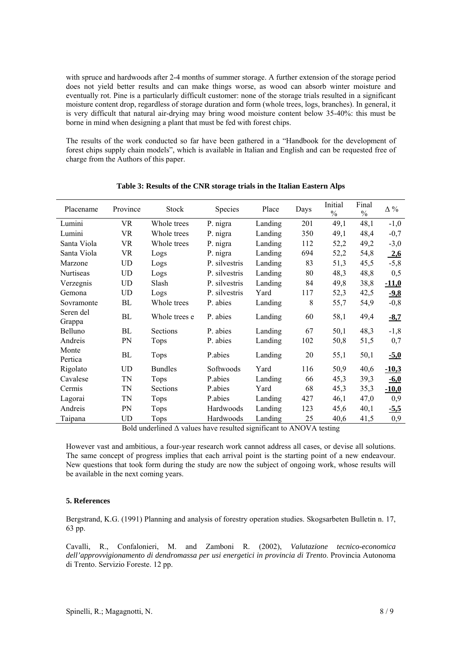with spruce and hardwoods after 2-4 months of summer storage. A further extension of the storage period does not yield better results and can make things worse, as wood can absorb winter moisture and eventually rot. Pine is a particularly difficult customer: none of the storage trials resulted in a significant moisture content drop, regardless of storage duration and form (whole trees, logs, branches). In general, it is very difficult that natural air-drying may bring wood moisture content below 35-40%: this must be borne in mind when designing a plant that must be fed with forest chips.

The results of the work conducted so far have been gathered in a "Handbook for the development of forest chips supply chain models", which is available in Italian and English and can be requested free of charge from the Authors of this paper.

| Placename           | Province  | Stock          | <b>Species</b> | Place   | Days | Initial<br>$\frac{0}{0}$ | Final<br>$\frac{0}{0}$ | $\Delta$ % |
|---------------------|-----------|----------------|----------------|---------|------|--------------------------|------------------------|------------|
| Lumini              | VR        | Whole trees    | P. nigra       | Landing | 201  | 49,1                     | 48,1                   | $-1,0$     |
| Lumini              | <b>VR</b> | Whole trees    | P. nigra       | Landing | 350  | 49,1                     | 48,4                   | $-0,7$     |
| Santa Viola         | <b>VR</b> | Whole trees    | P. nigra       | Landing | 112  | 52,2                     | 49,2                   | $-3,0$     |
| Santa Viola         | <b>VR</b> | Logs           | P. nigra       | Landing | 694  | 52,2                     | 54,8                   | 2,6        |
| Marzone             | <b>UD</b> | Logs           | P. silvestris  | Landing | 83   | 51,3                     | 45,5                   | $-5,8$     |
| Nurtiseas           | <b>UD</b> | Logs           | P. silvestris  | Landing | 80   | 48,3                     | 48,8                   | 0,5        |
| Verzegnis           | UD        | Slash          | P. silvestris  | Landing | 84   | 49,8                     | 38,8                   | $-11,0$    |
| Gemona              | <b>UD</b> | Logs           | P. silvestris  | Yard    | 117  | 52,3                     | 42,5                   | $-9,8$     |
| Sovramonte          | BL        | Whole trees    | P. abies       | Landing | 8    | 55,7                     | 54,9                   | $-0,8$     |
| Seren del<br>Grappa | BL        | Whole trees e  | P. abies       | Landing | 60   | 58,1                     | 49,4                   | $-8,7$     |
| Belluno             | BL        | Sections       | P. abies       | Landing | 67   | 50,1                     | 48,3                   | $-1,8$     |
| Andreis             | PN        | Tops           | P. abies       | Landing | 102  | 50,8                     | 51,5                   | 0,7        |
| Monte<br>Pertica    | BL        | Tops           | P.abies        | Landing | 20   | 55,1                     | 50,1                   | $-5,0$     |
| Rigolato            | <b>UD</b> | <b>Bundles</b> | Softwoods      | Yard    | 116  | 50,9                     | 40,6                   | $-10,3$    |
| Cavalese            | TN        | Tops           | P.abies        | Landing | 66   | 45,3                     | 39,3                   | $-6,0$     |
| Cermis              | TN        | Sections       | P.abies        | Yard    | 68   | 45,3                     | 35,3                   | $-10,0$    |
| Lagorai             | TN        | Tops           | P.abies        | Landing | 427  | 46,1                     | 47,0                   | 0,9        |
| Andreis             | PN        | Tops           | Hardwoods      | Landing | 123  | 45,6                     | 40,1                   | $-5,5$     |
| Taipana             | UD        | Tops           | Hardwoods      | Landing | 25   | 40,6                     | 41,5                   | 0,9        |

**Table 3: Results of the CNR storage trials in the Italian Eastern Alps** 

Bold underlined  $\Delta$  values have resulted significant to ANOVA testing

However vast and ambitious, a four-year research work cannot address all cases, or devise all solutions. The same concept of progress implies that each arrival point is the starting point of a new endeavour. New questions that took form during the study are now the subject of ongoing work, whose results will be available in the next coming years.

# **5. References**

Bergstrand, K.G. (1991) Planning and analysis of forestry operation studies. Skogsarbeten Bulletin n. 17, 63 pp.

Cavalli, R., Confalonieri, M. and Zamboni R. (2002), *Valutazione tecnico-economica dell'approvvigionamento di dendromassa per usi energetici in provincia di Trento*. Provincia Autonoma di Trento. Servizio Foreste. 12 pp.